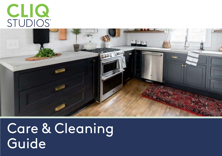# CLIQ<br>STUDIOS®



Care & Cleaning **Guide**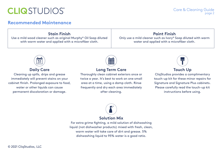# **CLIQSTUDIOS®**

#### **Recommended Maintenance**

**Stain Finish**Use a mild wood cleaner such as original Murphy® Oil Soap diluted with warm water and applied with a microfiber cloth.

#### **Paint Finish**

Only use a mild cleaner such as Ivory® Soap diluted with warm water and applied with a microfiber cloth.



#### **Daily Care**

Cleaning up spills, drips and grease immediately will prevent stains on your cabinet finish. Prolonged exposure to food, water or other liquids can cause permanent discoloration or damage.



#### **Long Term Care**

Thoroughly clean cabinet exteriors once or twice a year. It's best to work on one small area at a time, using a damp cloth. Rinse frequently and dry each area immediately after cleaning.



Care & Cleaning Guide

page 2

#### **Touch Up**

CliqStudios provides a complimentary touch-up kit for these minor repairs for Signature and Signature Plus cabinets. Please carefully read the touch-up kit instructions before using.

# **Solution Mix**

For extra grime fighting, a mild solution of dishwashing liquid (not dishwasher products) mixed with fresh, clean, warm water will take care of dirt and grease. 5% dishwashing liquid to 95% water is a good ratio.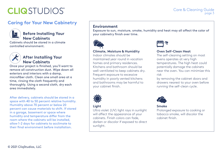# **CLIQSTUDIOS**®

#### **Caring for Your New Cabinetry**



#### **Before Installing Your New Cabinets**

Cabinets should be stored in a climate controlled environment.



#### **After Installing Your New Cabinets**

Once your project is finished, you'll want to remove all construction dust. Wipe down all exteriors and interiors with a damp, microfiber cloth. Clean one small area at a time, rinsing the cloth frequently and thoroughly. Using a second cloth, dry each area immediately.

After delivery, cabinets should be stored in a space with 40 to 50 percent relative humidity. Humidity above 70 percent or below 20 percent can cause materials to shift. If stored in a garage, basement or space where humidity and temperature differ from the room where the cabinets will be installed, allow 1-2 days for cabinets to acclimate to their final environment before installation.

#### **Environment**

Exposure to sun, moisture, smoke, humidity and heat may all affect the color of your cabinetry finish over time.



#### **Climate, Moisture & Humidity**

Indoor climates should be maintained year round in vacation homes and primary residences. Kitchens and bathroom should be well-ventilated to keep cabinets dry. Frequent exposure to excessive humidity in poorly vented kitchens and bathrooms may be harmful to your cabinet finish.



#### **Light**

Ultra violet (UV) light rays in sunlight will affect the appearance of your cabinets. Finish colors can fade, darken or discolor if exposed to direct sunlight.



#### **Oven Self-Clean Heat**

The self-cleaning setting on most ovens operates at very high temperatures. The high heat could potentially damage the cabinets near the oven. You can minimize this risk

Care & Cleaning Guide

page 3

by removing the cabinet doors and drawers nearest to your oven before running the self-clean cycle.



#### **Smoke**

Prolonged exposure to cooking or tobacco smoke, will discolor the cabinet finish.